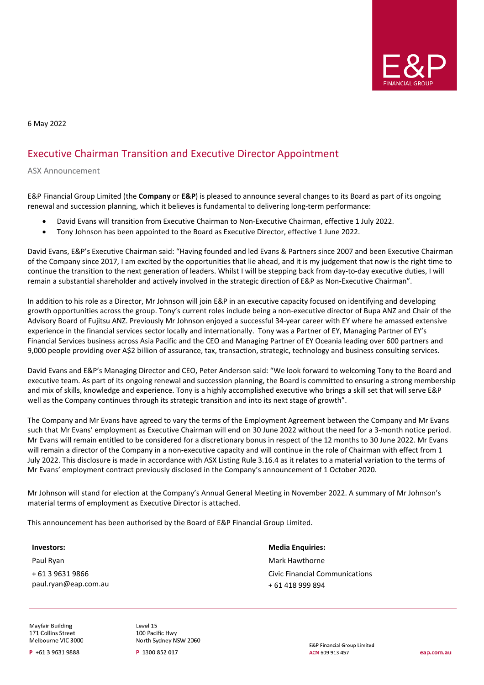

6 May 2022

## Executive Chairman Transition and Executive Director Appointment

ASX Announcement

E&P Financial Group Limited (the **Company** or **E&P**) is pleased to announce several changes to its Board as part of its ongoing renewal and succession planning, which it believes is fundamental to delivering long-term performance:

- David Evans will transition from Executive Chairman to Non-Executive Chairman, effective 1 July 2022.
- Tony Johnson has been appointed to the Board as Executive Director, effective 1 June 2022.

David Evans, E&P's Executive Chairman said: "Having founded and led Evans & Partners since 2007 and been Executive Chairman of the Company since 2017, I am excited by the opportunities that lie ahead, and it is my judgement that now is the right time to continue the transition to the next generation of leaders. Whilst I will be stepping back from day-to-day executive duties, I will remain a substantial shareholder and actively involved in the strategic direction of E&P as Non-Executive Chairman".

In addition to his role as a Director, Mr Johnson will join E&P in an executive capacity focused on identifying and developing growth opportunities across the group. Tony's current roles include being a non-executive director of Bupa ANZ and Chair of the Advisory Board of Fujitsu ANZ. Previously Mr Johnson enjoyed a successful 34-year career with EY where he amassed extensive experience in the financial services sector locally and internationally. Tony was a Partner of EY, Managing Partner of EY's Financial Services business across Asia Pacific and the CEO and Managing Partner of EY Oceania leading over 600 partners and 9,000 people providing over A\$2 billion of assurance, tax, transaction, strategic, technology and business consulting services.

David Evans and E&P's Managing Director and CEO, Peter Anderson said: "We look forward to welcoming Tony to the Board and executive team. As part of its ongoing renewal and succession planning, the Board is committed to ensuring a strong membership and mix of skills, knowledge and experience. Tony is a highly accomplished executive who brings a skill set that will serve E&P well as the Company continues through its strategic transition and into its next stage of growth".

The Company and Mr Evans have agreed to vary the terms of the Employment Agreement between the Company and Mr Evans such that Mr Evans' employment as Executive Chairman will end on 30 June 2022 without the need for a 3-month notice period. Mr Evans will remain entitled to be considered for a discretionary bonus in respect of the 12 months to 30 June 2022. Mr Evans will remain a director of the Company in a non-executive capacity and will continue in the role of Chairman with effect from 1 July 2022. This disclosure is made in accordance with ASX Listing Rule 3.16.4 as it relates to a material variation to the terms of Mr Evans' employment contract previously disclosed in the Company's announcement of 1 October 2020.

Mr Johnson will stand for election at the Company's Annual General Meeting in November 2022. A summary of Mr Johnson's material terms of employment as Executive Director is attached.

This announcement has been authorised by the Board of E&P Financial Group Limited.

## **Investors:**

Paul Ryan + 61 3 9631 9866 paul.ryan@eap.com.au **Media Enquiries:** Mark Hawthorne Civic Financial Communications + 61 418 999 894

Mayfair Building 171 Collins Street Melbourne VIC 3000

P +61 3 9631 9888

Level 15 100 Pacific Hwy North Sydney NSW 2060

P 1300 852 017

**E&P Financial Group Limited** ACN 609 913 457